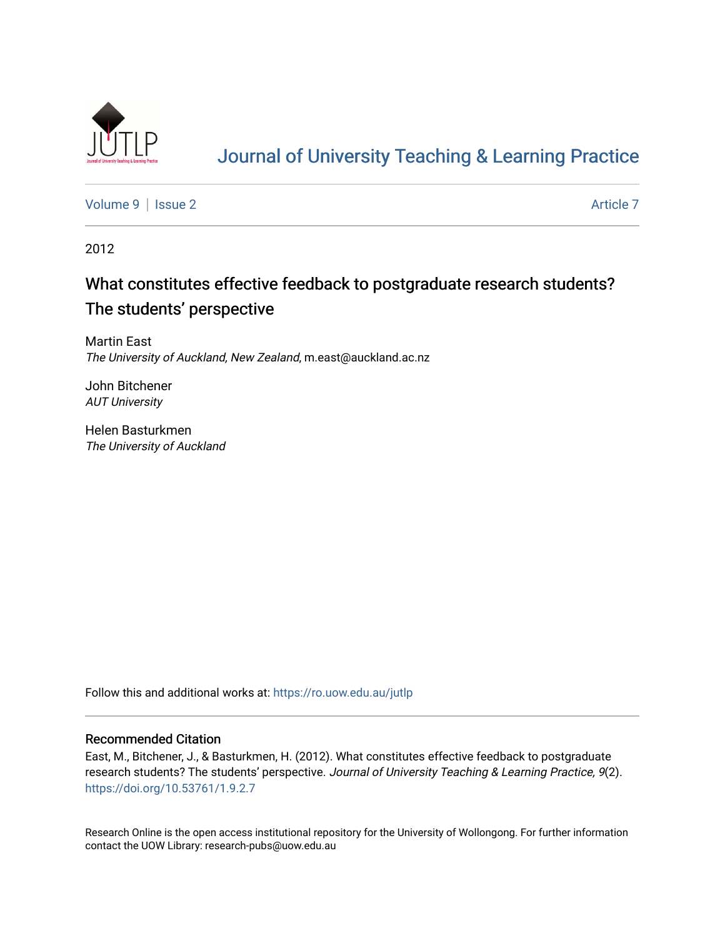

# [Journal of University Teaching & Learning Practice](https://ro.uow.edu.au/jutlp)

[Volume 9](https://ro.uow.edu.au/jutlp/vol9) | [Issue 2](https://ro.uow.edu.au/jutlp/vol9/iss2) Article 7

2012

# What constitutes effective feedback to postgraduate research students? The students' perspective

Martin East The University of Auckland, New Zealand, m.east@auckland.ac.nz

John Bitchener AUT University

Helen Basturkmen The University of Auckland

Follow this and additional works at: [https://ro.uow.edu.au/jutlp](https://ro.uow.edu.au/jutlp?utm_source=ro.uow.edu.au%2Fjutlp%2Fvol9%2Fiss2%2F7&utm_medium=PDF&utm_campaign=PDFCoverPages) 

### Recommended Citation

East, M., Bitchener, J., & Basturkmen, H. (2012). What constitutes effective feedback to postgraduate research students? The students' perspective. Journal of University Teaching & Learning Practice, 9(2). <https://doi.org/10.53761/1.9.2.7>

Research Online is the open access institutional repository for the University of Wollongong. For further information contact the UOW Library: research-pubs@uow.edu.au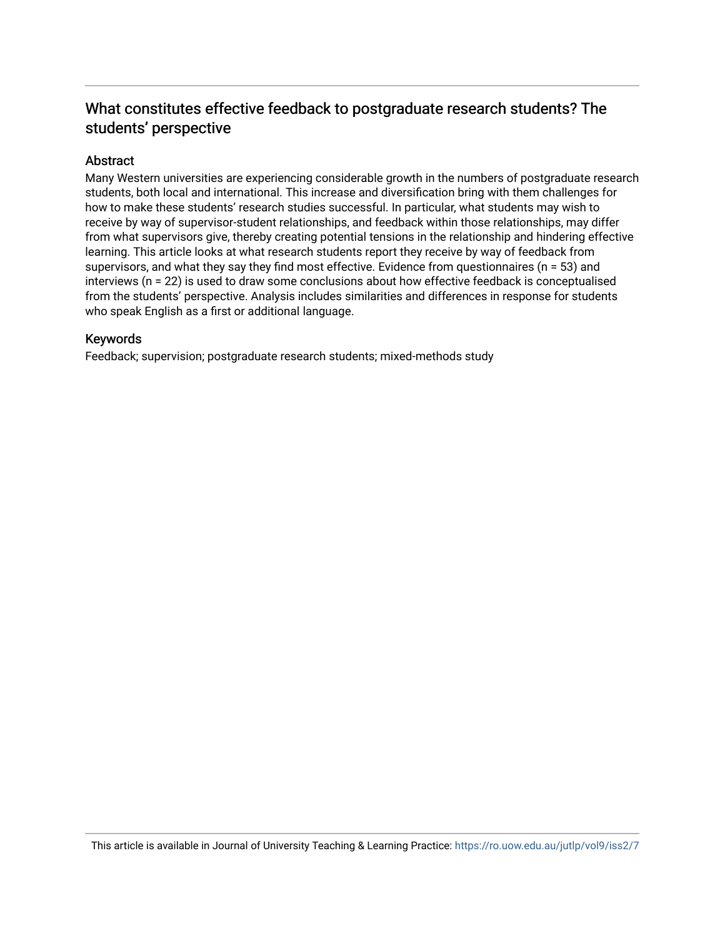# What constitutes effective feedback to postgraduate research students? The students' perspective

## Abstract

Many Western universities are experiencing considerable growth in the numbers of postgraduate research students, both local and international. This increase and diversification bring with them challenges for how to make these students' research studies successful. In particular, what students may wish to receive by way of supervisor-student relationships, and feedback within those relationships, may differ from what supervisors give, thereby creating potential tensions in the relationship and hindering effective learning. This article looks at what research students report they receive by way of feedback from supervisors, and what they say they find most effective. Evidence from questionnaires (n = 53) and interviews (n = 22) is used to draw some conclusions about how effective feedback is conceptualised from the students' perspective. Analysis includes similarities and differences in response for students who speak English as a first or additional language.

## Keywords

Feedback; supervision; postgraduate research students; mixed-methods study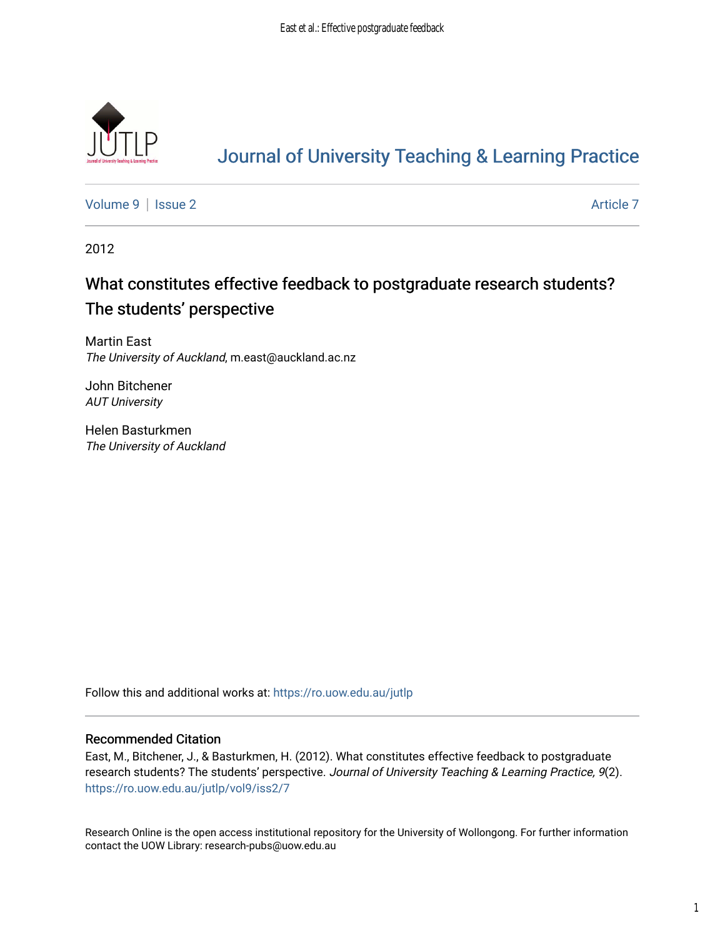

# [Journal of University Teaching & Learning Practice](https://ro.uow.edu.au/jutlp)

[Volume 9](https://ro.uow.edu.au/jutlp/vol9) | [Issue 2](https://ro.uow.edu.au/jutlp/vol9/iss2) Article 7

2012

# What constitutes effective feedback to postgraduate research students? The students' perspective

Martin East The University of Auckland, m.east@auckland.ac.nz

John Bitchener AUT University

Helen Basturkmen The University of Auckland

Follow this and additional works at: [https://ro.uow.edu.au/jutlp](https://ro.uow.edu.au/jutlp?utm_source=ro.uow.edu.au%2Fjutlp%2Fvol9%2Fiss2%2F7&utm_medium=PDF&utm_campaign=PDFCoverPages) 

### Recommended Citation

East, M., Bitchener, J., & Basturkmen, H. (2012). What constitutes effective feedback to postgraduate research students? The students' perspective. Journal of University Teaching & Learning Practice, 9(2). [https://ro.uow.edu.au/jutlp/vol9/iss2/7](https://ro.uow.edu.au/jutlp/vol9/iss2/7?utm_source=ro.uow.edu.au%2Fjutlp%2Fvol9%2Fiss2%2F7&utm_medium=PDF&utm_campaign=PDFCoverPages) 

Research Online is the open access institutional repository for the University of Wollongong. For further information contact the UOW Library: research-pubs@uow.edu.au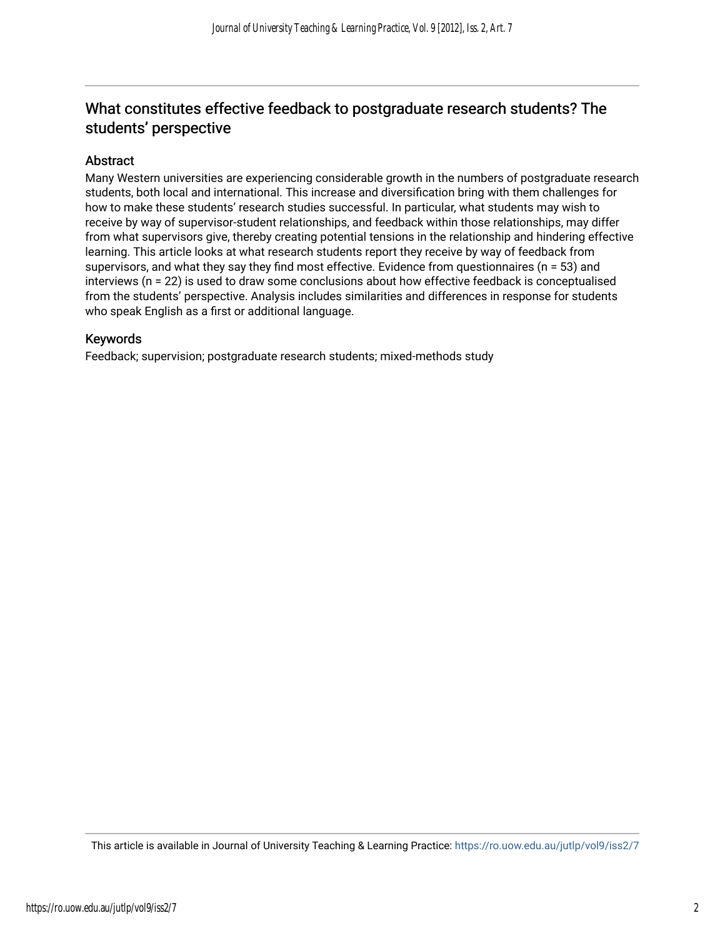# What constitutes effective feedback to postgraduate research students? The students' perspective

## Abstract

Many Western universities are experiencing considerable growth in the numbers of postgraduate research students, both local and international. This increase and diversification bring with them challenges for how to make these students' research studies successful. In particular, what students may wish to receive by way of supervisor-student relationships, and feedback within those relationships, may differ from what supervisors give, thereby creating potential tensions in the relationship and hindering effective learning. This article looks at what research students report they receive by way of feedback from supervisors, and what they say they find most effective. Evidence from questionnaires (n = 53) and interviews (n = 22) is used to draw some conclusions about how effective feedback is conceptualised from the students' perspective. Analysis includes similarities and differences in response for students who speak English as a first or additional language.

### Keywords

Feedback; supervision; postgraduate research students; mixed-methods study

This article is available in Journal of University Teaching & Learning Practice:<https://ro.uow.edu.au/jutlp/vol9/iss2/7>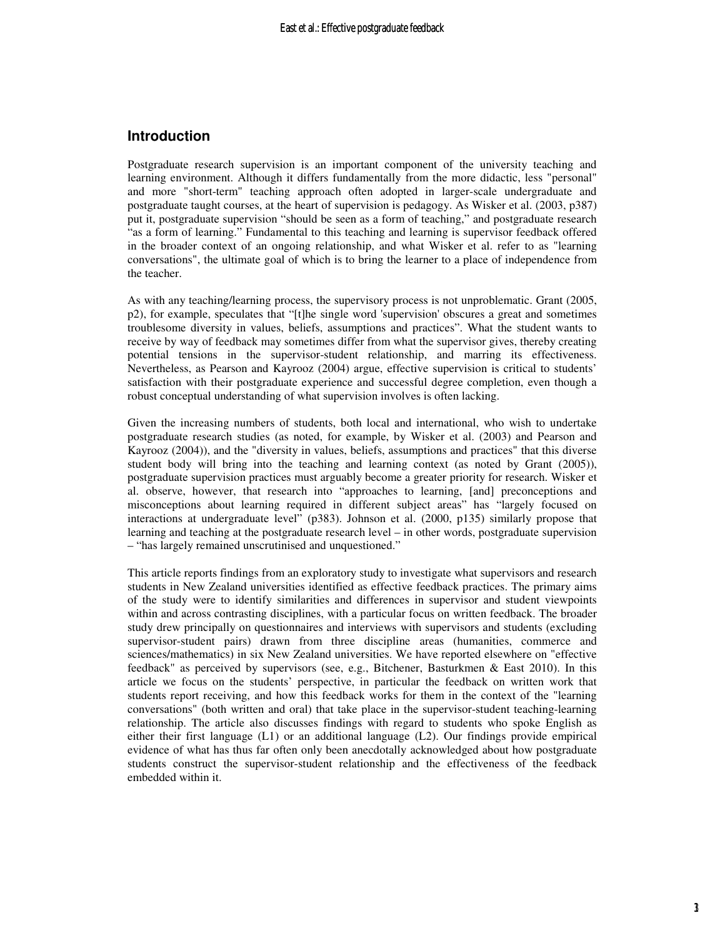### **Introduction**

Postgraduate research supervision is an important component of the university teaching and learning environment. Although it differs fundamentally from the more didactic, less "personal" and more "short-term" teaching approach often adopted in larger-scale undergraduate and postgraduate taught courses, at the heart of supervision is pedagogy. As Wisker et al. (2003, p387) put it, postgraduate supervision "should be seen as a form of teaching," and postgraduate research "as a form of learning." Fundamental to this teaching and learning is supervisor feedback offered in the broader context of an ongoing relationship, and what Wisker et al. refer to as "learning conversations", the ultimate goal of which is to bring the learner to a place of independence from the teacher.

As with any teaching/learning process, the supervisory process is not unproblematic. Grant (2005, p2), for example, speculates that "[t]he single word 'supervision' obscures a great and sometimes troublesome diversity in values, beliefs, assumptions and practices". What the student wants to receive by way of feedback may sometimes differ from what the supervisor gives, thereby creating potential tensions in the supervisor-student relationship, and marring its effectiveness. Nevertheless, as Pearson and Kayrooz (2004) argue, effective supervision is critical to students' satisfaction with their postgraduate experience and successful degree completion, even though a robust conceptual understanding of what supervision involves is often lacking.

Given the increasing numbers of students, both local and international, who wish to undertake postgraduate research studies (as noted, for example, by Wisker et al. (2003) and Pearson and Kayrooz (2004)), and the "diversity in values, beliefs, assumptions and practices" that this diverse student body will bring into the teaching and learning context (as noted by Grant (2005)), postgraduate supervision practices must arguably become a greater priority for research. Wisker et al. observe, however, that research into "approaches to learning, [and] preconceptions and misconceptions about learning required in different subject areas" has "largely focused on interactions at undergraduate level" (p383). Johnson et al. (2000, p135) similarly propose that learning and teaching at the postgraduate research level – in other words, postgraduate supervision – "has largely remained unscrutinised and unquestioned."

This article reports findings from an exploratory study to investigate what supervisors and research students in New Zealand universities identified as effective feedback practices. The primary aims of the study were to identify similarities and differences in supervisor and student viewpoints within and across contrasting disciplines, with a particular focus on written feedback. The broader study drew principally on questionnaires and interviews with supervisors and students (excluding supervisor-student pairs) drawn from three discipline areas (humanities, commerce and sciences/mathematics) in six New Zealand universities. We have reported elsewhere on "effective feedback" as perceived by supervisors (see, e.g., Bitchener, Basturkmen & East 2010). In this article we focus on the students' perspective, in particular the feedback on written work that students report receiving, and how this feedback works for them in the context of the "learning conversations" (both written and oral) that take place in the supervisor-student teaching-learning relationship. The article also discusses findings with regard to students who spoke English as either their first language (L1) or an additional language (L2). Our findings provide empirical evidence of what has thus far often only been anecdotally acknowledged about how postgraduate students construct the supervisor-student relationship and the effectiveness of the feedback embedded within it.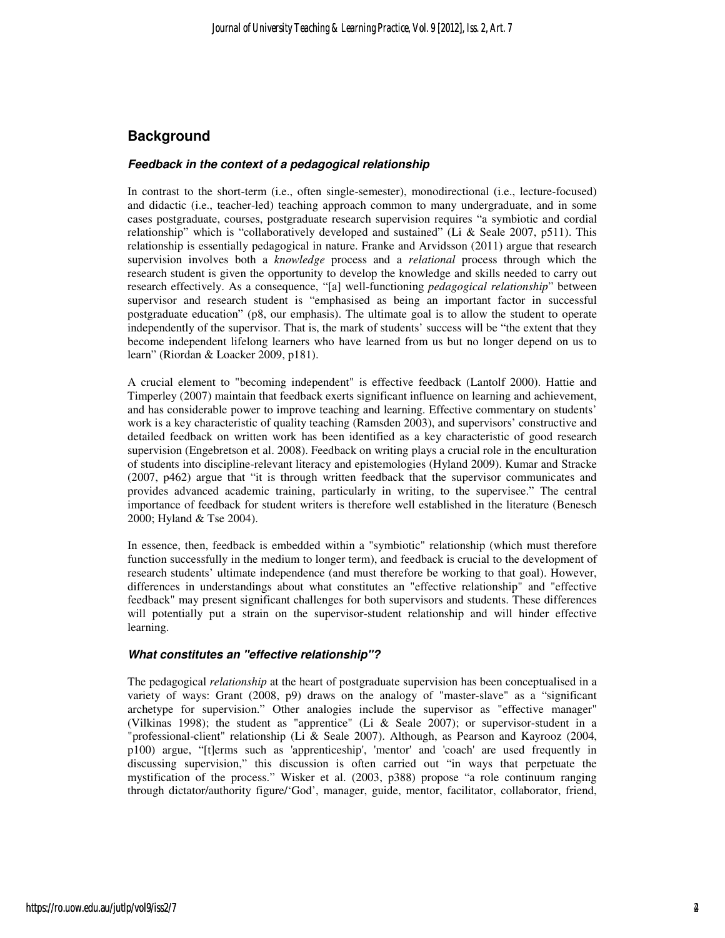## **Background**

#### **Feedback in the context of a pedagogical relationship**

In contrast to the short-term (i.e., often single-semester), monodirectional (i.e., lecture-focused) and didactic (i.e., teacher-led) teaching approach common to many undergraduate, and in some cases postgraduate, courses, postgraduate research supervision requires "a symbiotic and cordial relationship" which is "collaboratively developed and sustained" (Li & Seale 2007, p511). This relationship is essentially pedagogical in nature. Franke and Arvidsson (2011) argue that research supervision involves both a *knowledge* process and a *relational* process through which the research student is given the opportunity to develop the knowledge and skills needed to carry out research effectively. As a consequence, "[a] well-functioning *pedagogical relationship*" between supervisor and research student is "emphasised as being an important factor in successful postgraduate education" (p8, our emphasis). The ultimate goal is to allow the student to operate independently of the supervisor. That is, the mark of students' success will be "the extent that they become independent lifelong learners who have learned from us but no longer depend on us to learn" (Riordan & Loacker 2009, p181).

A crucial element to "becoming independent" is effective feedback (Lantolf 2000). Hattie and Timperley (2007) maintain that feedback exerts significant influence on learning and achievement, and has considerable power to improve teaching and learning. Effective commentary on students' work is a key characteristic of quality teaching (Ramsden 2003), and supervisors' constructive and detailed feedback on written work has been identified as a key characteristic of good research supervision (Engebretson et al. 2008). Feedback on writing plays a crucial role in the enculturation of students into discipline-relevant literacy and epistemologies (Hyland 2009). Kumar and Stracke (2007, p462) argue that "it is through written feedback that the supervisor communicates and provides advanced academic training, particularly in writing, to the supervisee." The central importance of feedback for student writers is therefore well established in the literature (Benesch 2000; Hyland & Tse 2004).

In essence, then, feedback is embedded within a "symbiotic" relationship (which must therefore function successfully in the medium to longer term), and feedback is crucial to the development of research students' ultimate independence (and must therefore be working to that goal). However, differences in understandings about what constitutes an "effective relationship" and "effective feedback" may present significant challenges for both supervisors and students. These differences will potentially put a strain on the supervisor-student relationship and will hinder effective learning.

#### **What constitutes an "effective relationship"?**

The pedagogical *relationship* at the heart of postgraduate supervision has been conceptualised in a variety of ways: Grant (2008, p9) draws on the analogy of "master-slave" as a "significant archetype for supervision." Other analogies include the supervisor as "effective manager" (Vilkinas 1998); the student as "apprentice" (Li & Seale 2007); or supervisor-student in a "professional-client" relationship (Li & Seale 2007). Although, as Pearson and Kayrooz (2004, p100) argue, "[t]erms such as 'apprenticeship', 'mentor' and 'coach' are used frequently in discussing supervision," this discussion is often carried out "in ways that perpetuate the mystification of the process." Wisker et al. (2003, p388) propose "a role continuum ranging through dictator/authority figure/'God', manager, guide, mentor, facilitator, collaborator, friend,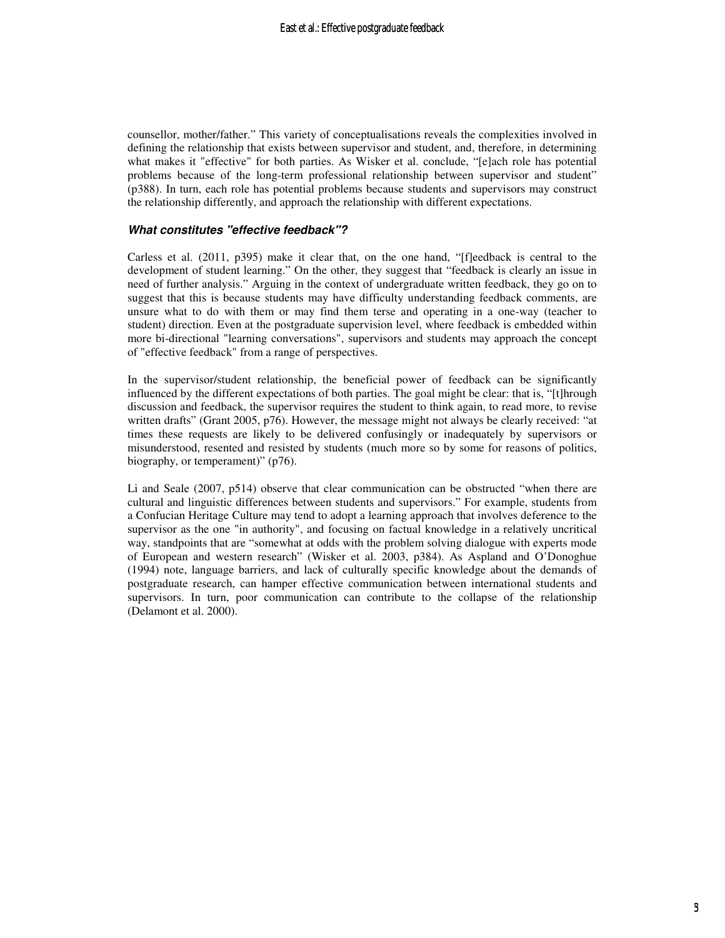counsellor, mother/father." This variety of conceptualisations reveals the complexities involved in defining the relationship that exists between supervisor and student, and, therefore, in determining what makes it "effective" for both parties. As Wisker et al. conclude, "[e]ach role has potential problems because of the long-term professional relationship between supervisor and student" (p388). In turn, each role has potential problems because students and supervisors may construct the relationship differently, and approach the relationship with different expectations.

#### **What constitutes "effective feedback"?**

Carless et al. (2011, p395) make it clear that, on the one hand, "[f]eedback is central to the development of student learning." On the other, they suggest that "feedback is clearly an issue in need of further analysis." Arguing in the context of undergraduate written feedback, they go on to suggest that this is because students may have difficulty understanding feedback comments, are unsure what to do with them or may find them terse and operating in a one-way (teacher to student) direction. Even at the postgraduate supervision level, where feedback is embedded within more bi-directional "learning conversations", supervisors and students may approach the concept of "effective feedback" from a range of perspectives.

In the supervisor/student relationship, the beneficial power of feedback can be significantly influenced by the different expectations of both parties. The goal might be clear: that is, "[t]hrough discussion and feedback, the supervisor requires the student to think again, to read more, to revise written drafts" (Grant 2005, p76). However, the message might not always be clearly received: "at times these requests are likely to be delivered confusingly or inadequately by supervisors or misunderstood, resented and resisted by students (much more so by some for reasons of politics, biography, or temperament)" (p76).

Li and Seale (2007, p514) observe that clear communication can be obstructed "when there are cultural and linguistic differences between students and supervisors." For example, students from a Confucian Heritage Culture may tend to adopt a learning approach that involves deference to the supervisor as the one "in authority", and focusing on factual knowledge in a relatively uncritical way, standpoints that are "somewhat at odds with the problem solving dialogue with experts mode of European and western research" (Wisker et al. 2003, p384). As Aspland and O'Donoghue (1994) note, language barriers, and lack of culturally specific knowledge about the demands of postgraduate research, can hamper effective communication between international students and supervisors. In turn, poor communication can contribute to the collapse of the relationship (Delamont et al. 2000).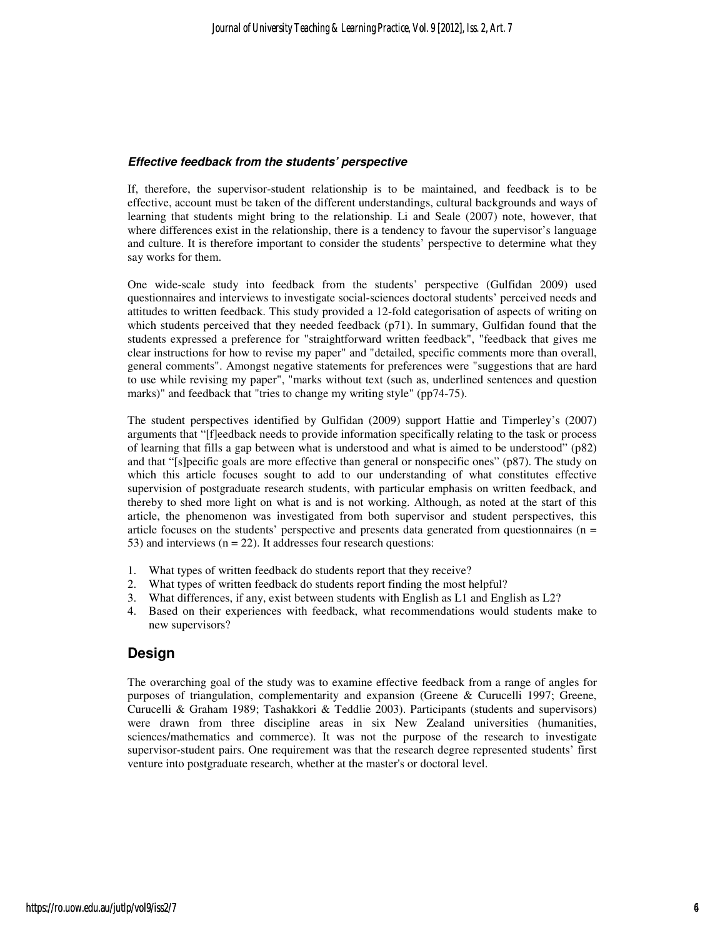#### **Effective feedback from the students' perspective**

If, therefore, the supervisor-student relationship is to be maintained, and feedback is to be effective, account must be taken of the different understandings, cultural backgrounds and ways of learning that students might bring to the relationship. Li and Seale (2007) note, however, that where differences exist in the relationship, there is a tendency to favour the supervisor's language and culture. It is therefore important to consider the students' perspective to determine what they say works for them.

One wide-scale study into feedback from the students' perspective (Gulfidan 2009) used questionnaires and interviews to investigate social-sciences doctoral students' perceived needs and attitudes to written feedback. This study provided a 12-fold categorisation of aspects of writing on which students perceived that they needed feedback (p71). In summary, Gulfidan found that the students expressed a preference for "straightforward written feedback", "feedback that gives me clear instructions for how to revise my paper" and "detailed, specific comments more than overall, general comments". Amongst negative statements for preferences were "suggestions that are hard to use while revising my paper", "marks without text (such as, underlined sentences and question marks)" and feedback that "tries to change my writing style" (pp74-75).

The student perspectives identified by Gulfidan (2009) support Hattie and Timperley's (2007) arguments that "[f]eedback needs to provide information specifically relating to the task or process of learning that fills a gap between what is understood and what is aimed to be understood" (p82) and that "[s]pecific goals are more effective than general or nonspecific ones" (p87). The study on which this article focuses sought to add to our understanding of what constitutes effective supervision of postgraduate research students, with particular emphasis on written feedback, and thereby to shed more light on what is and is not working. Although, as noted at the start of this article, the phenomenon was investigated from both supervisor and student perspectives, this article focuses on the students' perspective and presents data generated from questionnaires ( $n =$ 53) and interviews  $(n = 22)$ . It addresses four research questions:

- 1. What types of written feedback do students report that they receive?
- 2. What types of written feedback do students report finding the most helpful?
- 3. What differences, if any, exist between students with English as L1 and English as L2?
- 4. Based on their experiences with feedback, what recommendations would students make to new supervisors?

## **Design**

The overarching goal of the study was to examine effective feedback from a range of angles for purposes of triangulation, complementarity and expansion (Greene & Curucelli 1997; Greene, Curucelli & Graham 1989; Tashakkori & Teddlie 2003). Participants (students and supervisors) were drawn from three discipline areas in six New Zealand universities (humanities, sciences/mathematics and commerce). It was not the purpose of the research to investigate supervisor-student pairs. One requirement was that the research degree represented students' first venture into postgraduate research, whether at the master's or doctoral level.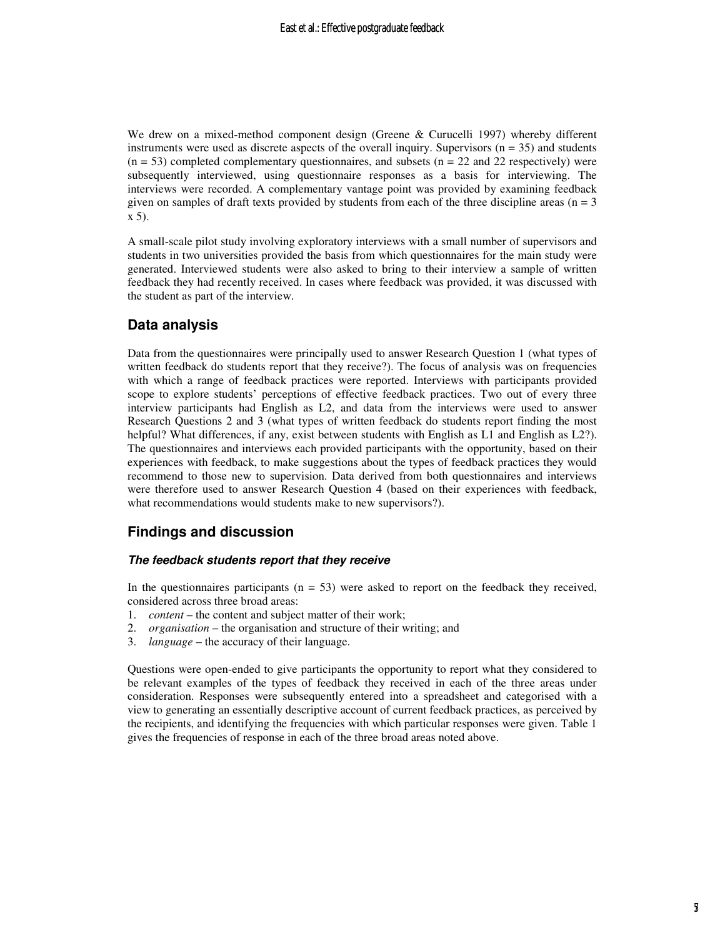We drew on a mixed-method component design (Greene & Curucelli 1997) whereby different instruments were used as discrete aspects of the overall inquiry. Supervisors  $(n = 35)$  and students  $(n = 53)$  completed complementary questionnaires, and subsets  $(n = 22$  and 22 respectively) were subsequently interviewed, using questionnaire responses as a basis for interviewing. The interviews were recorded. A complementary vantage point was provided by examining feedback given on samples of draft texts provided by students from each of the three discipline areas ( $n = 3$ ) x 5).

A small-scale pilot study involving exploratory interviews with a small number of supervisors and students in two universities provided the basis from which questionnaires for the main study were generated. Interviewed students were also asked to bring to their interview a sample of written feedback they had recently received. In cases where feedback was provided, it was discussed with the student as part of the interview.

## **Data analysis**

Data from the questionnaires were principally used to answer Research Question 1 (what types of written feedback do students report that they receive?). The focus of analysis was on frequencies with which a range of feedback practices were reported. Interviews with participants provided scope to explore students' perceptions of effective feedback practices. Two out of every three interview participants had English as L2, and data from the interviews were used to answer Research Questions 2 and 3 (what types of written feedback do students report finding the most helpful? What differences, if any, exist between students with English as L1 and English as L2?). The questionnaires and interviews each provided participants with the opportunity, based on their experiences with feedback, to make suggestions about the types of feedback practices they would recommend to those new to supervision. Data derived from both questionnaires and interviews were therefore used to answer Research Question 4 (based on their experiences with feedback, what recommendations would students make to new supervisors?).

## **Findings and discussion**

#### **The feedback students report that they receive**

In the questionnaires participants ( $n = 53$ ) were asked to report on the feedback they received, considered across three broad areas:

- 1. *content* the content and subject matter of their work;
- 2. *organisation* the organisation and structure of their writing; and
- 3. *language* the accuracy of their language.

Questions were open-ended to give participants the opportunity to report what they considered to be relevant examples of the types of feedback they received in each of the three areas under consideration. Responses were subsequently entered into a spreadsheet and categorised with a view to generating an essentially descriptive account of current feedback practices, as perceived by the recipients, and identifying the frequencies with which particular responses were given. Table 1 gives the frequencies of response in each of the three broad areas noted above.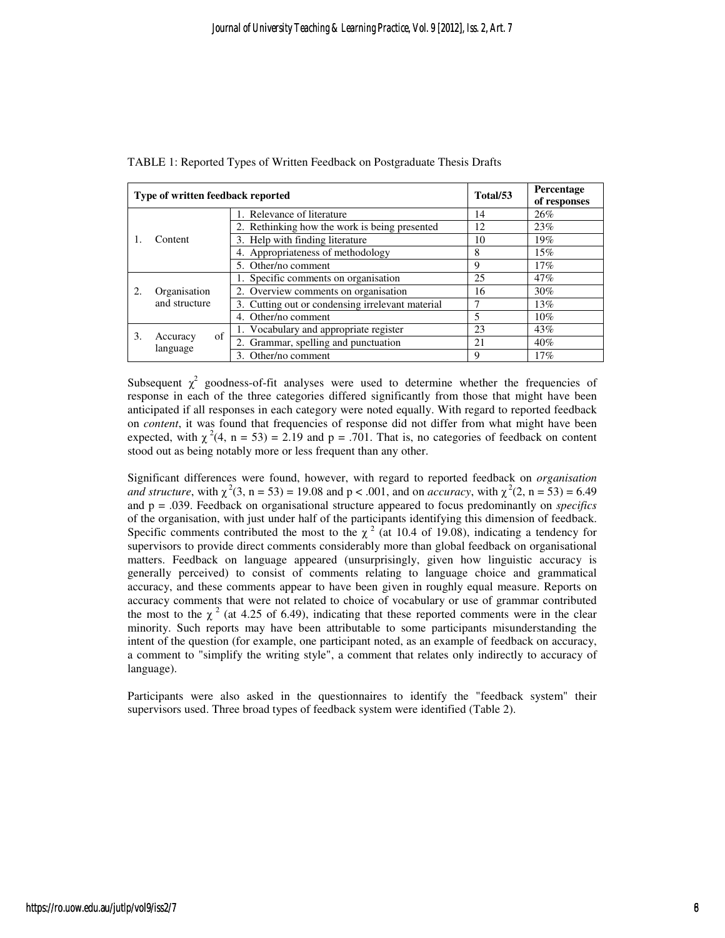| Type of written feedback reported |                               |                                                  | Total/53 | Percentage<br>of responses |
|-----------------------------------|-------------------------------|--------------------------------------------------|----------|----------------------------|
|                                   | Content                       | 1. Relevance of literature                       | 14       | 26%                        |
|                                   |                               | 2. Rethinking how the work is being presented    | 12       | 23%                        |
|                                   |                               | 3. Help with finding literature                  | 10       | 19%                        |
|                                   |                               | 4. Appropriateness of methodology                | 8        | 15%                        |
|                                   |                               | 5. Other/no comment                              | 9        | 17%                        |
| 2.                                | Organisation<br>and structure | 1. Specific comments on organisation             | 25       | 47%                        |
|                                   |                               | 2. Overview comments on organisation             | 16       | 30%                        |
|                                   |                               | 3. Cutting out or condensing irrelevant material |          | 13%                        |
|                                   |                               | 4. Other/no comment                              | 5        | 10%                        |
| 3.                                | of<br>Accuracy<br>language    | 1. Vocabulary and appropriate register           | 23       | 43%                        |
|                                   |                               | 2. Grammar, spelling and punctuation             | 21       | 40%                        |
|                                   |                               | 3. Other/no comment                              | 9        | 17%                        |

Subsequent  $\chi^2$  goodness-of-fit analyses were used to determine whether the frequencies of response in each of the three categories differed significantly from those that might have been anticipated if all responses in each category were noted equally. With regard to reported feedback on *content*, it was found that frequencies of response did not differ from what might have been expected, with  $\chi^2(4, n = 53) = 2.19$  and  $p = .701$ . That is, no categories of feedback on content stood out as being notably more or less frequent than any other.

Significant differences were found, however, with regard to reported feedback on *organisation and structure*, with  $\chi^2(3, n = 53) = 19.08$  and  $p < .001$ , and on *accuracy*, with  $\chi^2(2, n = 53) = 6.49$ and p = .039. Feedback on organisational structure appeared to focus predominantly on *specifics* of the organisation, with just under half of the participants identifying this dimension of feedback. Specific comments contributed the most to the  $\chi^2$  (at 10.4 of 19.08), indicating a tendency for supervisors to provide direct comments considerably more than global feedback on organisational matters. Feedback on language appeared (unsurprisingly, given how linguistic accuracy is generally perceived) to consist of comments relating to language choice and grammatical accuracy, and these comments appear to have been given in roughly equal measure. Reports on accuracy comments that were not related to choice of vocabulary or use of grammar contributed the most to the  $\chi^2$  (at 4.25 of 6.49), indicating that these reported comments were in the clear minority. Such reports may have been attributable to some participants misunderstanding the intent of the question (for example, one participant noted, as an example of feedback on accuracy, a comment to "simplify the writing style", a comment that relates only indirectly to accuracy of language).

Participants were also asked in the questionnaires to identify the "feedback system" their supervisors used. Three broad types of feedback system were identified (Table 2).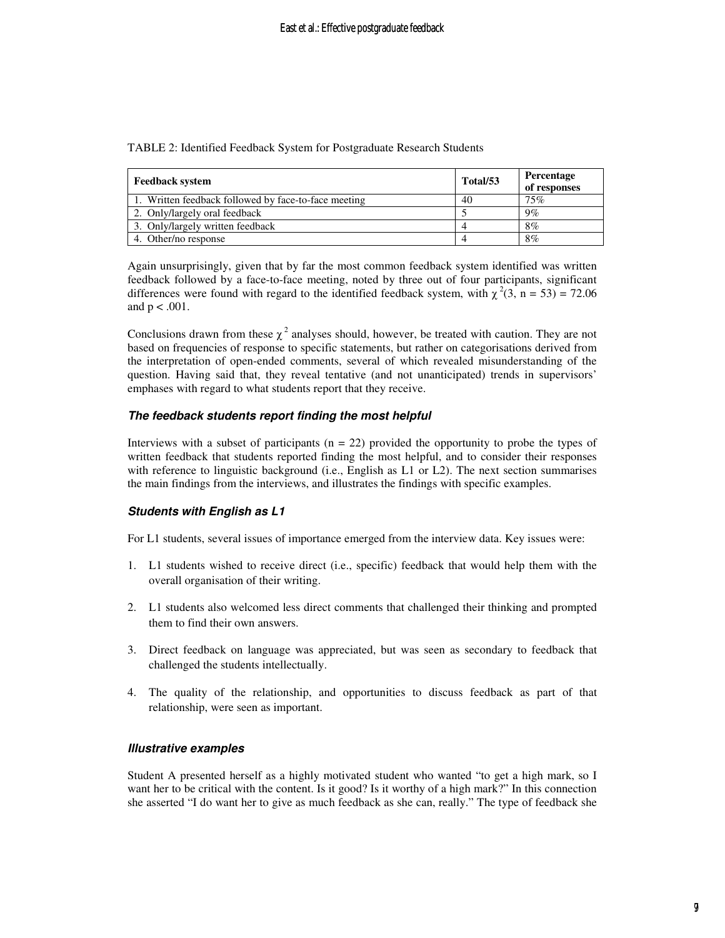| TABLE 2: Identified Feedback System for Postgraduate Research Students |  |
|------------------------------------------------------------------------|--|
|------------------------------------------------------------------------|--|

| <b>Feedback system</b>                               | Total/53 | Percentage<br>of responses |
|------------------------------------------------------|----------|----------------------------|
| 1. Written feedback followed by face-to-face meeting | 40       | 75%                        |
| 2. Only/largely oral feedback                        |          | $9\%$                      |
| 3. Only/largely written feedback                     |          | 8%                         |
| 4. Other/no response                                 |          | $8\%$                      |

Again unsurprisingly, given that by far the most common feedback system identified was written feedback followed by a face-to-face meeting, noted by three out of four participants, significant differences were found with regard to the identified feedback system, with  $\chi^2(3, n = 53) = 72.06$ and  $p < .001$ .

Conclusions drawn from these  $\chi^2$  analyses should, however, be treated with caution. They are not based on frequencies of response to specific statements, but rather on categorisations derived from the interpretation of open-ended comments, several of which revealed misunderstanding of the question. Having said that, they reveal tentative (and not unanticipated) trends in supervisors' emphases with regard to what students report that they receive.

#### **The feedback students report finding the most helpful**

Interviews with a subset of participants  $(n = 22)$  provided the opportunity to probe the types of written feedback that students reported finding the most helpful, and to consider their responses with reference to linguistic background (i.e., English as L1 or L2). The next section summarises the main findings from the interviews, and illustrates the findings with specific examples.

#### **Students with English as L1**

For L1 students, several issues of importance emerged from the interview data. Key issues were:

- 1. L1 students wished to receive direct (i.e., specific) feedback that would help them with the overall organisation of their writing.
- 2. L1 students also welcomed less direct comments that challenged their thinking and prompted them to find their own answers.
- 3. Direct feedback on language was appreciated, but was seen as secondary to feedback that challenged the students intellectually.
- 4. The quality of the relationship, and opportunities to discuss feedback as part of that relationship, were seen as important.

#### **Illustrative examples**

Student A presented herself as a highly motivated student who wanted "to get a high mark, so I want her to be critical with the content. Is it good? Is it worthy of a high mark?" In this connection she asserted "I do want her to give as much feedback as she can, really." The type of feedback she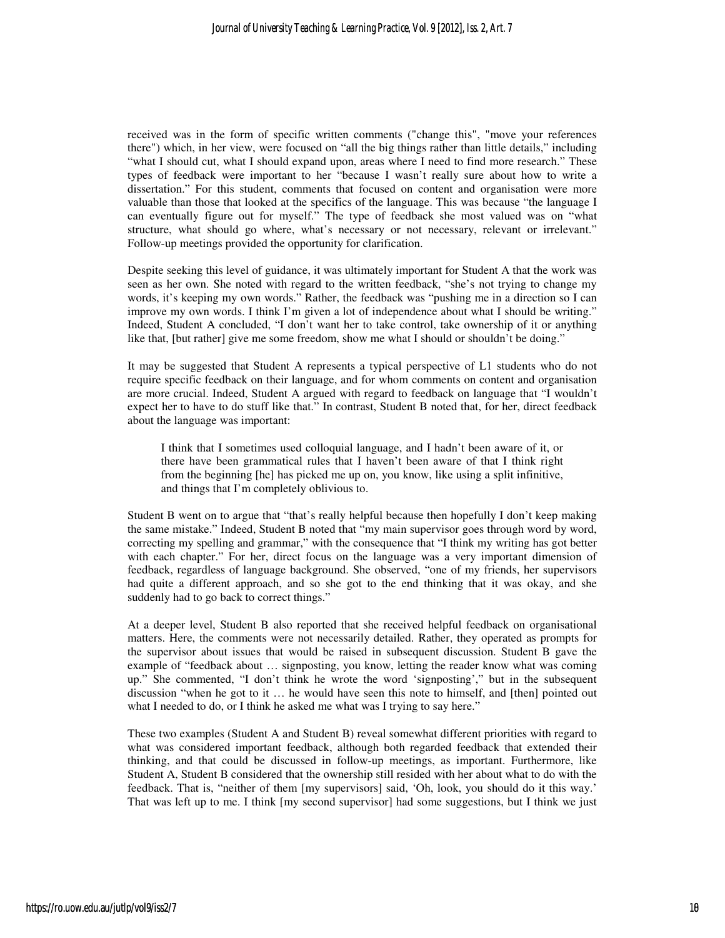received was in the form of specific written comments ("change this", "move your references there") which, in her view, were focused on "all the big things rather than little details," including "what I should cut, what I should expand upon, areas where I need to find more research." These types of feedback were important to her "because I wasn't really sure about how to write a dissertation." For this student, comments that focused on content and organisation were more valuable than those that looked at the specifics of the language. This was because "the language I can eventually figure out for myself." The type of feedback she most valued was on "what structure, what should go where, what's necessary or not necessary, relevant or irrelevant." Follow-up meetings provided the opportunity for clarification.

Despite seeking this level of guidance, it was ultimately important for Student A that the work was seen as her own. She noted with regard to the written feedback, "she's not trying to change my words, it's keeping my own words." Rather, the feedback was "pushing me in a direction so I can improve my own words. I think I'm given a lot of independence about what I should be writing." Indeed, Student A concluded, "I don't want her to take control, take ownership of it or anything like that, [but rather] give me some freedom, show me what I should or shouldn't be doing."

It may be suggested that Student A represents a typical perspective of L1 students who do not require specific feedback on their language, and for whom comments on content and organisation are more crucial. Indeed, Student A argued with regard to feedback on language that "I wouldn't expect her to have to do stuff like that." In contrast, Student B noted that, for her, direct feedback about the language was important:

I think that I sometimes used colloquial language, and I hadn't been aware of it, or there have been grammatical rules that I haven't been aware of that I think right from the beginning [he] has picked me up on, you know, like using a split infinitive, and things that I'm completely oblivious to.

Student B went on to argue that "that's really helpful because then hopefully I don't keep making the same mistake." Indeed, Student B noted that "my main supervisor goes through word by word, correcting my spelling and grammar," with the consequence that "I think my writing has got better with each chapter." For her, direct focus on the language was a very important dimension of feedback, regardless of language background. She observed, "one of my friends, her supervisors had quite a different approach, and so she got to the end thinking that it was okay, and she suddenly had to go back to correct things."

At a deeper level, Student B also reported that she received helpful feedback on organisational matters. Here, the comments were not necessarily detailed. Rather, they operated as prompts for the supervisor about issues that would be raised in subsequent discussion. Student B gave the example of "feedback about … signposting, you know, letting the reader know what was coming up." She commented, "I don't think he wrote the word 'signposting'," but in the subsequent discussion "when he got to it … he would have seen this note to himself, and [then] pointed out what I needed to do, or I think he asked me what was I trying to say here."

These two examples (Student A and Student B) reveal somewhat different priorities with regard to what was considered important feedback, although both regarded feedback that extended their thinking, and that could be discussed in follow-up meetings, as important. Furthermore, like Student A, Student B considered that the ownership still resided with her about what to do with the feedback. That is, "neither of them [my supervisors] said, 'Oh, look, you should do it this way.' That was left up to me. I think [my second supervisor] had some suggestions, but I think we just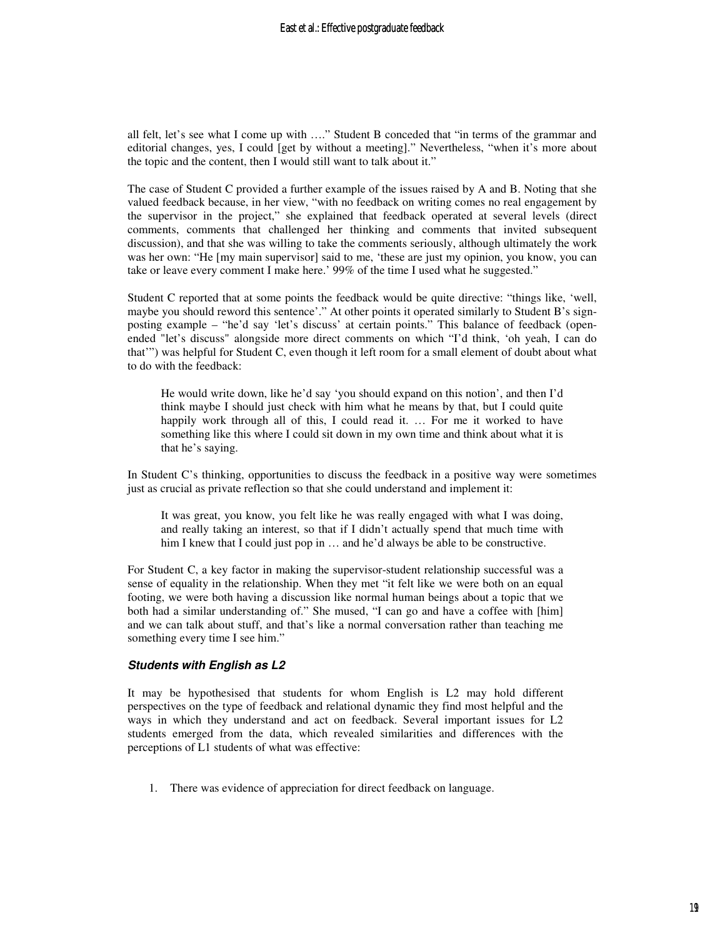all felt, let's see what I come up with …." Student B conceded that "in terms of the grammar and editorial changes, yes, I could [get by without a meeting]." Nevertheless, "when it's more about the topic and the content, then I would still want to talk about it."

The case of Student C provided a further example of the issues raised by A and B. Noting that she valued feedback because, in her view, "with no feedback on writing comes no real engagement by the supervisor in the project," she explained that feedback operated at several levels (direct comments, comments that challenged her thinking and comments that invited subsequent discussion), and that she was willing to take the comments seriously, although ultimately the work was her own: "He [my main supervisor] said to me, 'these are just my opinion, you know, you can take or leave every comment I make here.' 99% of the time I used what he suggested."

Student C reported that at some points the feedback would be quite directive: "things like, 'well, maybe you should reword this sentence'." At other points it operated similarly to Student B's signposting example – "he'd say 'let's discuss' at certain points." This balance of feedback (openended "let's discuss" alongside more direct comments on which "I'd think, 'oh yeah, I can do that'") was helpful for Student C, even though it left room for a small element of doubt about what to do with the feedback:

He would write down, like he'd say 'you should expand on this notion', and then I'd think maybe I should just check with him what he means by that, but I could quite happily work through all of this, I could read it. ... For me it worked to have something like this where I could sit down in my own time and think about what it is that he's saying.

In Student C's thinking, opportunities to discuss the feedback in a positive way were sometimes just as crucial as private reflection so that she could understand and implement it:

It was great, you know, you felt like he was really engaged with what I was doing, and really taking an interest, so that if I didn't actually spend that much time with him I knew that I could just pop in  $\dots$  and he'd always be able to be constructive.

For Student C, a key factor in making the supervisor-student relationship successful was a sense of equality in the relationship. When they met "it felt like we were both on an equal footing, we were both having a discussion like normal human beings about a topic that we both had a similar understanding of." She mused, "I can go and have a coffee with [him] and we can talk about stuff, and that's like a normal conversation rather than teaching me something every time I see him."

#### **Students with English as L2**

It may be hypothesised that students for whom English is L2 may hold different perspectives on the type of feedback and relational dynamic they find most helpful and the ways in which they understand and act on feedback. Several important issues for L2 students emerged from the data, which revealed similarities and differences with the perceptions of L1 students of what was effective:

1. There was evidence of appreciation for direct feedback on language.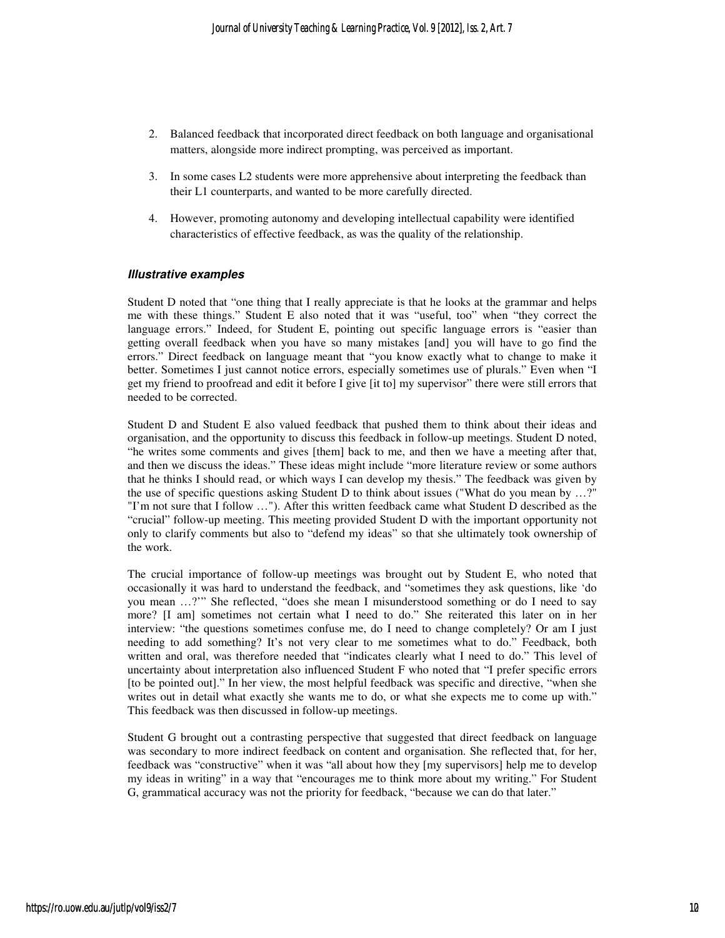- 2. Balanced feedback that incorporated direct feedback on both language and organisational matters, alongside more indirect prompting, was perceived as important.
- 3. In some cases L2 students were more apprehensive about interpreting the feedback than their L1 counterparts, and wanted to be more carefully directed.
- 4. However, promoting autonomy and developing intellectual capability were identified characteristics of effective feedback, as was the quality of the relationship.

#### **Illustrative examples**

Student D noted that "one thing that I really appreciate is that he looks at the grammar and helps me with these things." Student E also noted that it was "useful, too" when "they correct the language errors." Indeed, for Student E, pointing out specific language errors is "easier than getting overall feedback when you have so many mistakes [and] you will have to go find the errors." Direct feedback on language meant that "you know exactly what to change to make it better. Sometimes I just cannot notice errors, especially sometimes use of plurals." Even when "I get my friend to proofread and edit it before I give [it to] my supervisor" there were still errors that needed to be corrected.

Student D and Student E also valued feedback that pushed them to think about their ideas and organisation, and the opportunity to discuss this feedback in follow-up meetings. Student D noted, "he writes some comments and gives [them] back to me, and then we have a meeting after that, and then we discuss the ideas." These ideas might include "more literature review or some authors that he thinks I should read, or which ways I can develop my thesis." The feedback was given by the use of specific questions asking Student D to think about issues ("What do you mean by …?" "I'm not sure that I follow …"). After this written feedback came what Student D described as the "crucial" follow-up meeting. This meeting provided Student D with the important opportunity not only to clarify comments but also to "defend my ideas" so that she ultimately took ownership of the work.

The crucial importance of follow-up meetings was brought out by Student E, who noted that occasionally it was hard to understand the feedback, and "sometimes they ask questions, like 'do you mean …?'" She reflected, "does she mean I misunderstood something or do I need to say more? [I am] sometimes not certain what I need to do." She reiterated this later on in her interview: "the questions sometimes confuse me, do I need to change completely? Or am I just needing to add something? It's not very clear to me sometimes what to do." Feedback, both written and oral, was therefore needed that "indicates clearly what I need to do." This level of uncertainty about interpretation also influenced Student F who noted that "I prefer specific errors [to be pointed out]." In her view, the most helpful feedback was specific and directive, "when she writes out in detail what exactly she wants me to do, or what she expects me to come up with." This feedback was then discussed in follow-up meetings.

Student G brought out a contrasting perspective that suggested that direct feedback on language was secondary to more indirect feedback on content and organisation. She reflected that, for her, feedback was "constructive" when it was "all about how they [my supervisors] help me to develop my ideas in writing" in a way that "encourages me to think more about my writing." For Student G, grammatical accuracy was not the priority for feedback, "because we can do that later."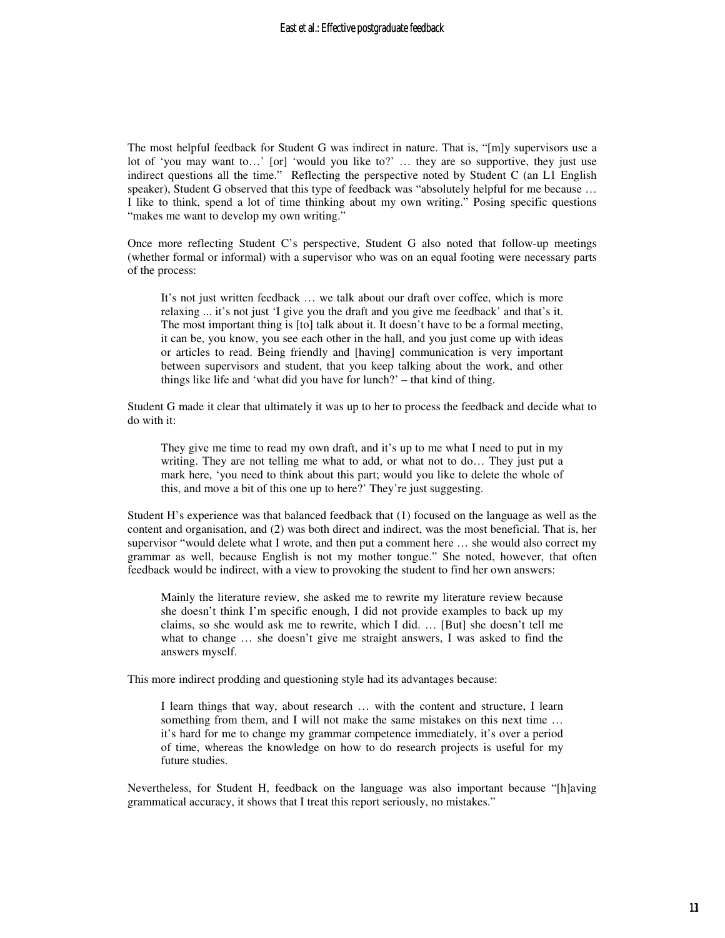The most helpful feedback for Student G was indirect in nature. That is, "[m]y supervisors use a lot of 'you may want to…' [or] 'would you like to?' … they are so supportive, they just use indirect questions all the time." Reflecting the perspective noted by Student C (an L1 English speaker), Student G observed that this type of feedback was "absolutely helpful for me because ... I like to think, spend a lot of time thinking about my own writing." Posing specific questions "makes me want to develop my own writing."

Once more reflecting Student C's perspective, Student G also noted that follow-up meetings (whether formal or informal) with a supervisor who was on an equal footing were necessary parts of the process:

It's not just written feedback … we talk about our draft over coffee, which is more relaxing ... it's not just 'I give you the draft and you give me feedback' and that's it. The most important thing is [to] talk about it. It doesn't have to be a formal meeting, it can be, you know, you see each other in the hall, and you just come up with ideas or articles to read. Being friendly and [having] communication is very important between supervisors and student, that you keep talking about the work, and other things like life and 'what did you have for lunch?' – that kind of thing.

Student G made it clear that ultimately it was up to her to process the feedback and decide what to do with it:

They give me time to read my own draft, and it's up to me what I need to put in my writing. They are not telling me what to add, or what not to do… They just put a mark here, 'you need to think about this part; would you like to delete the whole of this, and move a bit of this one up to here?' They're just suggesting.

Student H's experience was that balanced feedback that (1) focused on the language as well as the content and organisation, and (2) was both direct and indirect, was the most beneficial. That is, her supervisor "would delete what I wrote, and then put a comment here … she would also correct my grammar as well, because English is not my mother tongue." She noted, however, that often feedback would be indirect, with a view to provoking the student to find her own answers:

Mainly the literature review, she asked me to rewrite my literature review because she doesn't think I'm specific enough, I did not provide examples to back up my claims, so she would ask me to rewrite, which I did. … [But] she doesn't tell me what to change … she doesn't give me straight answers, I was asked to find the answers myself.

This more indirect prodding and questioning style had its advantages because:

I learn things that way, about research … with the content and structure, I learn something from them, and I will not make the same mistakes on this next time … it's hard for me to change my grammar competence immediately, it's over a period of time, whereas the knowledge on how to do research projects is useful for my future studies.

Nevertheless, for Student H, feedback on the language was also important because "[h]aving grammatical accuracy, it shows that I treat this report seriously, no mistakes."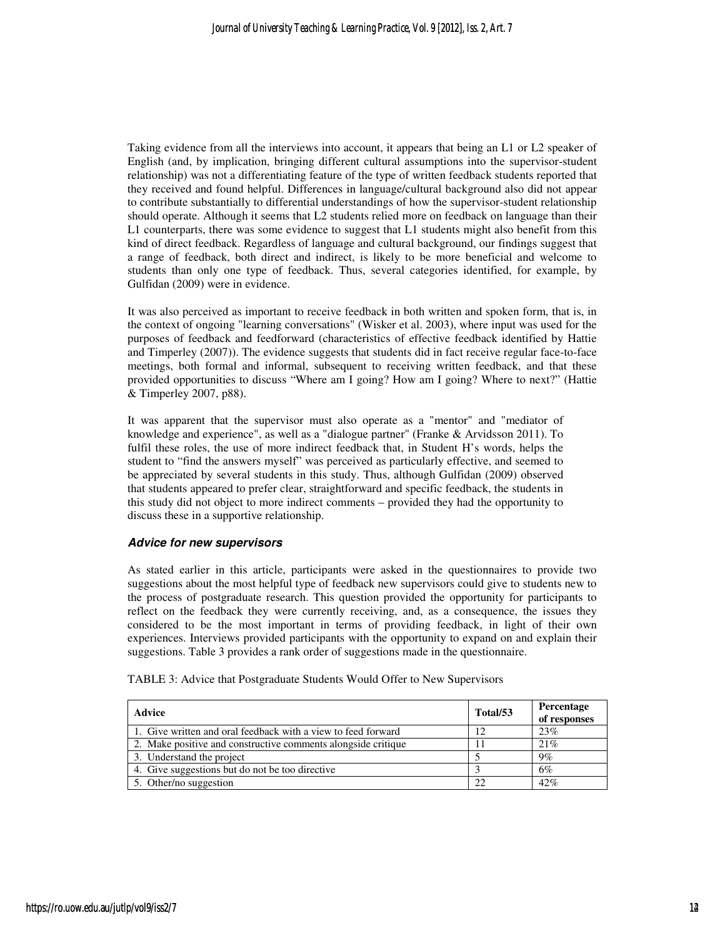Taking evidence from all the interviews into account, it appears that being an L1 or L2 speaker of English (and, by implication, bringing different cultural assumptions into the supervisor-student relationship) was not a differentiating feature of the type of written feedback students reported that they received and found helpful. Differences in language/cultural background also did not appear to contribute substantially to differential understandings of how the supervisor-student relationship should operate. Although it seems that L2 students relied more on feedback on language than their L1 counterparts, there was some evidence to suggest that L1 students might also benefit from this kind of direct feedback. Regardless of language and cultural background, our findings suggest that a range of feedback, both direct and indirect, is likely to be more beneficial and welcome to students than only one type of feedback. Thus, several categories identified, for example, by Gulfidan (2009) were in evidence.

It was also perceived as important to receive feedback in both written and spoken form, that is, in the context of ongoing "learning conversations" (Wisker et al. 2003), where input was used for the purposes of feedback and feedforward (characteristics of effective feedback identified by Hattie and Timperley (2007)). The evidence suggests that students did in fact receive regular face-to-face meetings, both formal and informal, subsequent to receiving written feedback, and that these provided opportunities to discuss "Where am I going? How am I going? Where to next?" (Hattie & Timperley 2007, p88).

It was apparent that the supervisor must also operate as a "mentor" and "mediator of knowledge and experience", as well as a "dialogue partner" (Franke & Arvidsson 2011). To fulfil these roles, the use of more indirect feedback that, in Student H's words, helps the student to "find the answers myself" was perceived as particularly effective, and seemed to be appreciated by several students in this study. Thus, although Gulfidan (2009) observed that students appeared to prefer clear, straightforward and specific feedback, the students in this study did not object to more indirect comments – provided they had the opportunity to discuss these in a supportive relationship.

#### **Advice for new supervisors**

As stated earlier in this article, participants were asked in the questionnaires to provide two suggestions about the most helpful type of feedback new supervisors could give to students new to the process of postgraduate research. This question provided the opportunity for participants to reflect on the feedback they were currently receiving, and, as a consequence, the issues they considered to be the most important in terms of providing feedback, in light of their own experiences. Interviews provided participants with the opportunity to expand on and explain their suggestions. Table 3 provides a rank order of suggestions made in the questionnaire.

TABLE 3: Advice that Postgraduate Students Would Offer to New Supervisors

| <b>Advice</b>                                                 | Total/53 | Percentage<br>of responses |
|---------------------------------------------------------------|----------|----------------------------|
| 1. Give written and oral feedback with a view to feed forward |          | 23%                        |
| 2. Make positive and constructive comments alongside critique |          | 21%                        |
| 3. Understand the project                                     |          | $9\%$                      |
| 4. Give suggestions but do not be too directive               |          | 6%                         |
| 5. Other/no suggestion                                        |          | 42%                        |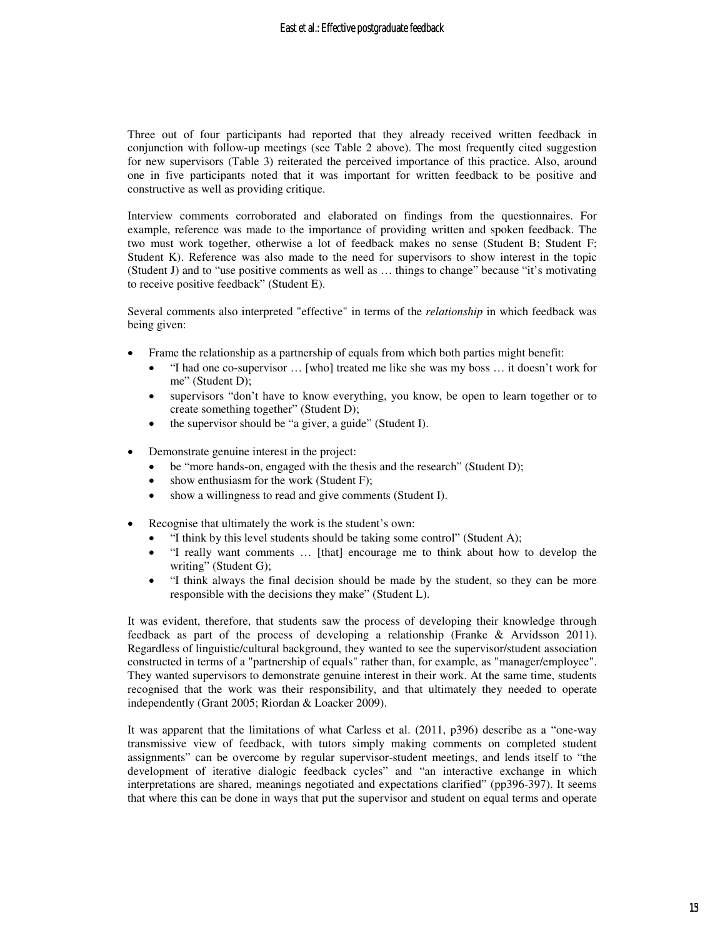Three out of four participants had reported that they already received written feedback in conjunction with follow-up meetings (see Table 2 above). The most frequently cited suggestion for new supervisors (Table 3) reiterated the perceived importance of this practice. Also, around one in five participants noted that it was important for written feedback to be positive and constructive as well as providing critique.

Interview comments corroborated and elaborated on findings from the questionnaires. For example, reference was made to the importance of providing written and spoken feedback. The two must work together, otherwise a lot of feedback makes no sense (Student B; Student F; Student K). Reference was also made to the need for supervisors to show interest in the topic (Student J) and to "use positive comments as well as … things to change" because "it's motivating to receive positive feedback" (Student E).

Several comments also interpreted "effective" in terms of the *relationship* in which feedback was being given:

- Frame the relationship as a partnership of equals from which both parties might benefit:
	- "I had one co-supervisor … [who] treated me like she was my boss … it doesn't work for me" (Student D);
	- supervisors "don't have to know everything, you know, be open to learn together or to create something together" (Student D);
	- the supervisor should be "a giver, a guide" (Student I).
- Demonstrate genuine interest in the project:
	- be "more hands-on, engaged with the thesis and the research" (Student D);
	- show enthusiasm for the work (Student F);
	- show a willingness to read and give comments (Student I).
- Recognise that ultimately the work is the student's own:
	- "I think by this level students should be taking some control" (Student A);
	- "I really want comments … [that] encourage me to think about how to develop the writing" (Student G);
	- "I think always the final decision should be made by the student, so they can be more responsible with the decisions they make" (Student L).

It was evident, therefore, that students saw the process of developing their knowledge through feedback as part of the process of developing a relationship (Franke & Arvidsson 2011). Regardless of linguistic/cultural background, they wanted to see the supervisor/student association constructed in terms of a "partnership of equals" rather than, for example, as "manager/employee". They wanted supervisors to demonstrate genuine interest in their work. At the same time, students recognised that the work was their responsibility, and that ultimately they needed to operate independently (Grant 2005; Riordan & Loacker 2009).

It was apparent that the limitations of what Carless et al. (2011, p396) describe as a "one-way transmissive view of feedback, with tutors simply making comments on completed student assignments" can be overcome by regular supervisor-student meetings, and lends itself to "the development of iterative dialogic feedback cycles" and "an interactive exchange in which interpretations are shared, meanings negotiated and expectations clarified" (pp396-397). It seems that where this can be done in ways that put the supervisor and student on equal terms and operate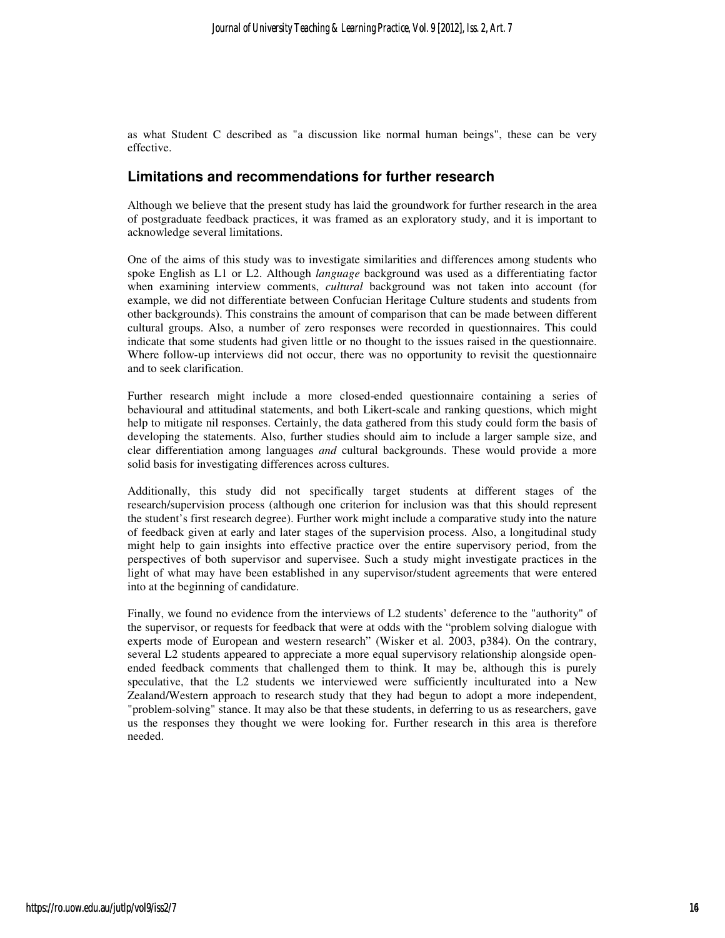as what Student C described as "a discussion like normal human beings", these can be very effective.

### **Limitations and recommendations for further research**

Although we believe that the present study has laid the groundwork for further research in the area of postgraduate feedback practices, it was framed as an exploratory study, and it is important to acknowledge several limitations.

One of the aims of this study was to investigate similarities and differences among students who spoke English as L1 or L2. Although *language* background was used as a differentiating factor when examining interview comments, *cultural* background was not taken into account (for example, we did not differentiate between Confucian Heritage Culture students and students from other backgrounds). This constrains the amount of comparison that can be made between different cultural groups. Also, a number of zero responses were recorded in questionnaires. This could indicate that some students had given little or no thought to the issues raised in the questionnaire. Where follow-up interviews did not occur, there was no opportunity to revisit the questionnaire and to seek clarification.

Further research might include a more closed-ended questionnaire containing a series of behavioural and attitudinal statements, and both Likert-scale and ranking questions, which might help to mitigate nil responses. Certainly, the data gathered from this study could form the basis of developing the statements. Also, further studies should aim to include a larger sample size, and clear differentiation among languages *and* cultural backgrounds. These would provide a more solid basis for investigating differences across cultures.

Additionally, this study did not specifically target students at different stages of the research/supervision process (although one criterion for inclusion was that this should represent the student's first research degree). Further work might include a comparative study into the nature of feedback given at early and later stages of the supervision process. Also, a longitudinal study might help to gain insights into effective practice over the entire supervisory period, from the perspectives of both supervisor and supervisee. Such a study might investigate practices in the light of what may have been established in any supervisor/student agreements that were entered into at the beginning of candidature.

Finally, we found no evidence from the interviews of L2 students' deference to the "authority" of the supervisor, or requests for feedback that were at odds with the "problem solving dialogue with experts mode of European and western research" (Wisker et al. 2003, p384). On the contrary, several L2 students appeared to appreciate a more equal supervisory relationship alongside openended feedback comments that challenged them to think. It may be, although this is purely speculative, that the L2 students we interviewed were sufficiently inculturated into a New Zealand/Western approach to research study that they had begun to adopt a more independent, "problem-solving" stance. It may also be that these students, in deferring to us as researchers, gave us the responses they thought we were looking for. Further research in this area is therefore needed.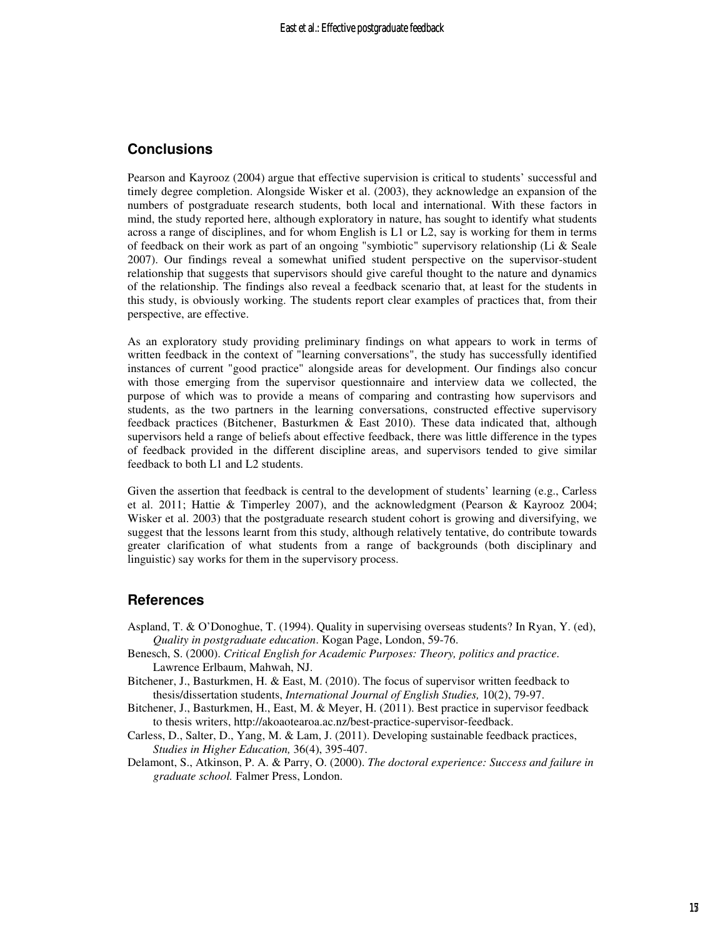### **Conclusions**

Pearson and Kayrooz (2004) argue that effective supervision is critical to students' successful and timely degree completion. Alongside Wisker et al. (2003), they acknowledge an expansion of the numbers of postgraduate research students, both local and international. With these factors in mind, the study reported here, although exploratory in nature, has sought to identify what students across a range of disciplines, and for whom English is L1 or L2, say is working for them in terms of feedback on their work as part of an ongoing "symbiotic" supervisory relationship (Li & Seale 2007). Our findings reveal a somewhat unified student perspective on the supervisor-student relationship that suggests that supervisors should give careful thought to the nature and dynamics of the relationship. The findings also reveal a feedback scenario that, at least for the students in this study, is obviously working. The students report clear examples of practices that, from their perspective, are effective.

As an exploratory study providing preliminary findings on what appears to work in terms of written feedback in the context of "learning conversations", the study has successfully identified instances of current "good practice" alongside areas for development. Our findings also concur with those emerging from the supervisor questionnaire and interview data we collected, the purpose of which was to provide a means of comparing and contrasting how supervisors and students, as the two partners in the learning conversations, constructed effective supervisory feedback practices (Bitchener, Basturkmen & East 2010). These data indicated that, although supervisors held a range of beliefs about effective feedback, there was little difference in the types of feedback provided in the different discipline areas, and supervisors tended to give similar feedback to both L1 and L2 students.

Given the assertion that feedback is central to the development of students' learning (e.g., Carless et al. 2011; Hattie & Timperley 2007), and the acknowledgment (Pearson & Kayrooz 2004; Wisker et al. 2003) that the postgraduate research student cohort is growing and diversifying, we suggest that the lessons learnt from this study, although relatively tentative, do contribute towards greater clarification of what students from a range of backgrounds (both disciplinary and linguistic) say works for them in the supervisory process.

#### **References**

- Aspland, T. & O'Donoghue, T. (1994). Quality in supervising overseas students? In Ryan, Y. (ed), *Quality in postgraduate education*. Kogan Page, London, 59-76.
- Benesch, S. (2000). *Critical English for Academic Purposes: Theory, politics and practice*. Lawrence Erlbaum, Mahwah, NJ.
- Bitchener, J., Basturkmen, H. & East, M. (2010). The focus of supervisor written feedback to thesis/dissertation students, *International Journal of English Studies,* 10(2), 79-97.
- Bitchener, J., Basturkmen, H., East, M. & Meyer, H. (2011). Best practice in supervisor feedback to thesis writers, http://akoaotearoa.ac.nz/best-practice-supervisor-feedback.
- Carless, D., Salter, D., Yang, M. & Lam, J. (2011). Developing sustainable feedback practices, *Studies in Higher Education,* 36(4), 395-407.
- Delamont, S., Atkinson, P. A. & Parry, O. (2000). *The doctoral experience: Success and failure in graduate school.* Falmer Press, London.